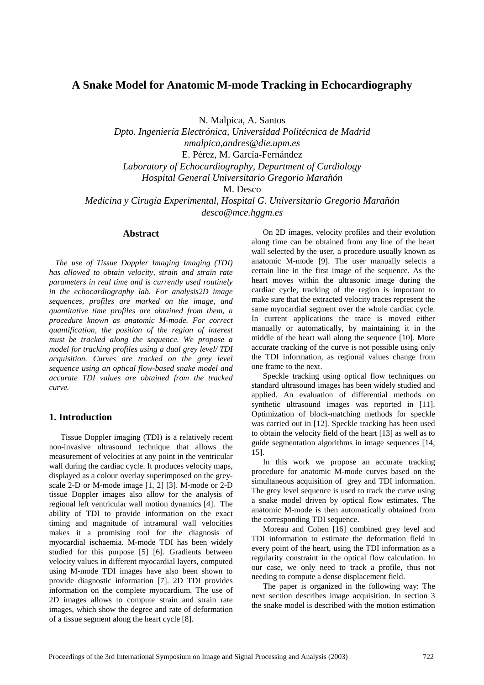# **A Snake Model for Anatomic M-mode Tracking in Echocardiography**

N. Malpica, A. Santos

*Dpto. Ingeniería Electrónica, Universidad Politécnica de Madrid nmalpica,andres@die.upm.es*  E. Pérez, M. García-Fernández *Laboratory of Echocardiography, Department of Cardiology Hospital General Universitario Gregorio Marañón*

M. Desco

*Medicina y Cirugía Experimental, Hospital G. Universitario Gregorio Marañón desco@mce.hggm.es*

# **Abstract**

 *The use of Tissue Doppler Imaging Imaging (TDI) has allowed to obtain velocity, strain and strain rate parameters in real time and is currently used routinely in the echocardiography lab. For analysis2D image sequences, profiles are marked on the image, and quantitative time profiles are obtained from them, a procedure known as anatomic M-mode. For correct quantification, the position of the region of interest must be tracked along the sequence. We propose a model for tracking profiles using a dual grey level/ TDI acquisition. Curves are tracked on the grey level sequence using an optical flow-based snake model and accurate TDI values are obtained from the tracked curve.* 

# **1. Introduction**

Tissue Doppler imaging (TDI) is a relatively recent non-invasive ultrasound technique that allows the measurement of velocities at any point in the ventricular wall during the cardiac cycle. It produces velocity maps, displayed as a colour overlay superimposed on the greyscale 2-D or M-mode image [1, 2] [3]. M-mode or 2-D tissue Doppler images also allow for the analysis of regional left ventricular wall motion dynamics [4]. The ability of TDI to provide information on the exact timing and magnitude of intramural wall velocities makes it a promising tool for the diagnosis of myocardial ischaemia. M-mode TDI has been widely studied for this purpose [5] [6]. Gradients between velocity values in different myocardial layers, computed using M-mode TDI images have also been shown to provide diagnostic information [7]. 2D TDI provides information on the complete myocardium. The use of 2D images allows to compute strain and strain rate images, which show the degree and rate of deformation of a tissue segment along the heart cycle [8].

On 2D images, velocity profiles and their evolution along time can be obtained from any line of the heart wall selected by the user, a procedure usually known as anatomic M-mode [9]. The user manually selects a certain line in the first image of the sequence. As the heart moves within the ultrasonic image during the cardiac cycle, tracking of the region is important to make sure that the extracted velocity traces represent the same myocardial segment over the whole cardiac cycle. In current applications the trace is moved either manually or automatically, by maintaining it in the middle of the heart wall along the sequence [10]. More accurate tracking of the curve is not possible using only the TDI information, as regional values change from one frame to the next.

Speckle tracking using optical flow techniques on standard ultrasound images has been widely studied and applied. An evaluation of differential methods on synthetic ultrasound images was reported in [11]. Optimization of block-matching methods for speckle was carried out in [12]. Speckle tracking has been used to obtain the velocity field of the heart [13] as well as to guide segmentation algorithms in image sequences [14, 15].

In this work we propose an accurate tracking procedure for anatomic M-mode curves based on the simultaneous acquisition of grey and TDI information. The grey level sequence is used to track the curve using a snake model driven by optical flow estimates. The anatomic M-mode is then automatically obtained from the corresponding TDI sequence.

Moreau and Cohen [16] combined grey level and TDI information to estimate the deformation field in every point of the heart, using the TDI information as a regularity constraint in the optical flow calculation. In our case, we only need to track a profile, thus not needing to compute a dense displacement field.

The paper is organized in the following way: The next section describes image acquisition. In section 3 the snake model is described with the motion estimation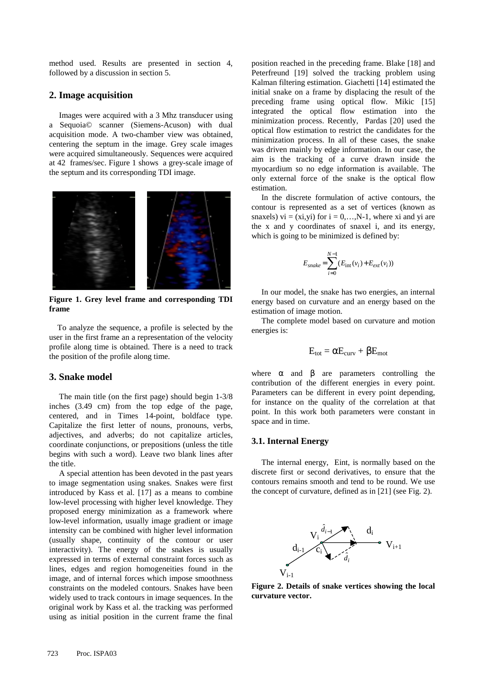method used. Results are presented in section 4, followed by a discussion in section 5.

## **2. Image acquisition**

Images were acquired with a 3 Mhz transducer using a Sequoia© scanner (Siemens-Acuson) with dual acquisition mode. A two-chamber view was obtained, centering the septum in the image. Grey scale images were acquired simultaneously. Sequences were acquired at 42 frames/sec. Figure 1 shows a grey-scale image of the septum and its corresponding TDI image.



**Figure 1. Grey level frame and corresponding TDI frame** 

 To analyze the sequence, a profile is selected by the user in the first frame an a representation of the velocity profile along time is obtained. There is a need to track the position of the profile along time.

#### **3. Snake model**

The main title (on the first page) should begin 1-3/8 inches (3.49 cm) from the top edge of the page, centered, and in Times 14-point, boldface type. Capitalize the first letter of nouns, pronouns, verbs, adjectives, and adverbs; do not capitalize articles, coordinate conjunctions, or prepositions (unless the title begins with such a word). Leave two blank lines after the title.

A special attention has been devoted in the past years to image segmentation using snakes. Snakes were first introduced by Kass et al. [17] as a means to combine low-level processing with higher level knowledge. They proposed energy minimization as a framework where low-level information, usually image gradient or image intensity can be combined with higher level information (usually shape, continuity of the contour or user interactivity). The energy of the snakes is usually expressed in terms of external constraint forces such as lines, edges and region homogeneities found in the image, and of internal forces which impose smoothness constraints on the modeled contours. Snakes have been widely used to track contours in image sequences. In the original work by Kass et al. the tracking was performed using as initial position in the current frame the final

position reached in the preceding frame. Blake [18] and Peterfreund [19] solved the tracking problem using Kalman filtering estimation. Giachetti [14] estimated the initial snake on a frame by displacing the result of the preceding frame using optical flow. Mikic [15] integrated the optical flow estimation into the minimization process. Recently, Pardas [20] used the optical flow estimation to restrict the candidates for the minimization process. In all of these cases, the snake was driven mainly by edge information. In our case, the aim is the tracking of a curve drawn inside the myocardium so no edge information is available. The only external force of the snake is the optical flow estimation.

In the discrete formulation of active contours, the contour is represented as a set of vertices (known as snaxels) vi =  $(xi, yi)$  for  $i = 0,..., N-1$ , where xi and yi are the x and y coordinates of snaxel i, and its energy, which is going to be minimized is defined by:

$$
E_{\text{snake}} = \sum_{i=0}^{N-1} (E_{\text{int}}(v_i) + E_{\text{ext}}(v_i))
$$

In our model, the snake has two energies, an internal energy based on curvature and an energy based on the estimation of image motion.

The complete model based on curvature and motion energies is:

$$
E_{tot} = \alpha E_{curv} + \beta E_{mot}
$$

where  $\alpha$  and  $\beta$  are parameters controlling the contribution of the different energies in every point. Parameters can be different in every point depending, for instance on the quality of the correlation at that point. In this work both parameters were constant in space and in time.

### **3.1. Internal Energy**

The internal energy, Eint, is normally based on the discrete first or second derivatives, to ensure that the contours remains smooth and tend to be round. We use the concept of curvature, defined as in [21] (see Fig. 2).



**Figure 2. Details of snake vertices showing the local curvature vector.**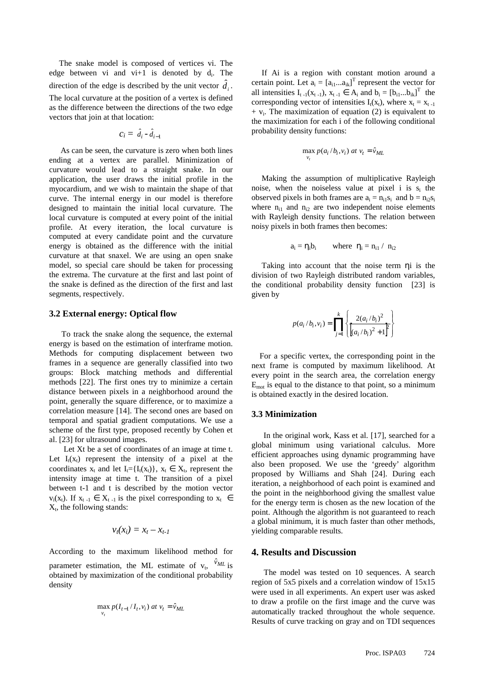The snake model is composed of vertices vi. The edge between vi and vi+1 is denoted by  $d_i$ . The direction of the edge is described by the unit vector  $\hat{d}_i$ . The local curvature at the position of a vertex is defined as the difference between the directions of the two edge vectors that join at that location:

$$
c_i = \hat{d}_i - \hat{d}_{i-1}
$$

As can be seen, the curvature is zero when both lines ending at a vertex are parallel. Minimization of curvature would lead to a straight snake. In our application, the user draws the initial profile in the myocardium, and we wish to maintain the shape of that curve. The internal energy in our model is therefore designed to maintain the initial local curvature. The local curvature is computed at every point of the initial profile. At every iteration, the local curvature is computed at every candidate point and the curvature energy is obtained as the difference with the initial curvature at that snaxel. We are using an open snake model, so special care should be taken for processing the extrema. The curvature at the first and last point of the snake is defined as the direction of the first and last segments, respectively.

### **3.2 External energy: Optical flow**

 To track the snake along the sequence, the external energy is based on the estimation of interframe motion. Methods for computing displacement between two frames in a sequence are generally classified into two groups: Block matching methods and differential methods [22]. The first ones try to minimize a certain distance between pixels in a neighborhood around the point, generally the square difference, or to maximize a correlation measure [14]. The second ones are based on temporal and spatial gradient computations. We use a scheme of the first type, proposed recently by Cohen et al. [23] for ultrasound images.

 Let Xt be a set of coordinates of an image at time t. Let  $I_t(x_t)$  represent the intensity of a pixel at the coordinates  $x_t$  and let  $I_t = \{I_t(x_t)\}\,$ ,  $x_t \in X_t$ , represent the intensity image at time t. The transition of a pixel between t-1 and t is described by the motion vector  $v_i(x_t)$ . If  $x_{t-1} \in X_{t-1}$  is the pixel corresponding to  $x_t \in$  $X_t$ , the following stands:

$$
v_t(x_i) = x_t - x_{t-1}
$$

According to the maximum likelihood method for parameter estimation, the ML estimate of  $v_t$ ,  $\hat{v}_{ML}$  is obtained by maximization of the conditional probability density

$$
\max_{v_t} p(I_{t-1}/I_t, v_i) \text{ at } v_t = \hat{v}_{ML}
$$

 If Ai is a region with constant motion around a certain point. Let  $a_i = [a_{i1}...a_{ik}]^T$  represent the vector for all intensities  $I_{t-1}(x_{t-1}), x_{t-1} \in A_i$  and  $b_i = [b_{i1}...b_{ik}]^T$  the corresponding vector of intensities  $I_t(x_t)$ , where  $x_t = x_{t-1}$  $+$  v<sub>i</sub>. The maximization of equation (2) is equivalent to the maximization for each i of the following conditional probability density functions:

$$
\max_{v_t} p(a_i/b_i, v_i) \text{ at } v_t = \hat{v}_{ML}
$$

 Making the assumption of multiplicative Rayleigh noise, when the noiseless value at pixel i is  $s_i$  the observed pixels in both frames are  $a_i = n_{i1} s_i$  and  $b = n_{i2} s_i$ where  $n_{i1}$  and  $n_{i2}$  are two independent noise elements with Rayleigh density functions. The relation between noisy pixels in both frames then becomes:

$$
a_i = \eta_i b_i \qquad \text{where } \eta_i = n_{i1} / n_{i2}
$$

 Taking into account that the noise term ηi is the division of two Rayleigh distributed random variables, the conditional probability density function [23] is given by

$$
p(a_i/b_i, v_i) = \prod_{j=1}^{k} \left\{ \frac{2(a_i/b_i)^2}{\left[ (a_i/b_i)^2 + 1 \right]^2} \right\}
$$

 For a specific vertex, the corresponding point in the next frame is computed by maximum likelihood. At every point in the search area, the correlation energy  $E_{\text{mot}}$  is equal to the distance to that point, so a minimum is obtained exactly in the desired location.

### **3.3 Minimization**

 In the original work, Kass et al. [17], searched for a global minimum using variational calculus. More efficient approaches using dynamic programming have also been proposed. We use the 'greedy' algorithm proposed by Williams and Shah [24]. During each iteration, a neighborhood of each point is examined and the point in the neighborhood giving the smallest value for the energy term is chosen as the new location of the point. Although the algorithm is not guaranteed to reach a global minimum, it is much faster than other methods, yielding comparable results.

#### **4. Results and Discussion**

 The model was tested on 10 sequences. A search region of 5x5 pixels and a correlation window of 15x15 were used in all experiments. An expert user was asked to draw a profile on the first image and the curve was automatically tracked throughout the whole sequence. Results of curve tracking on gray and on TDI sequences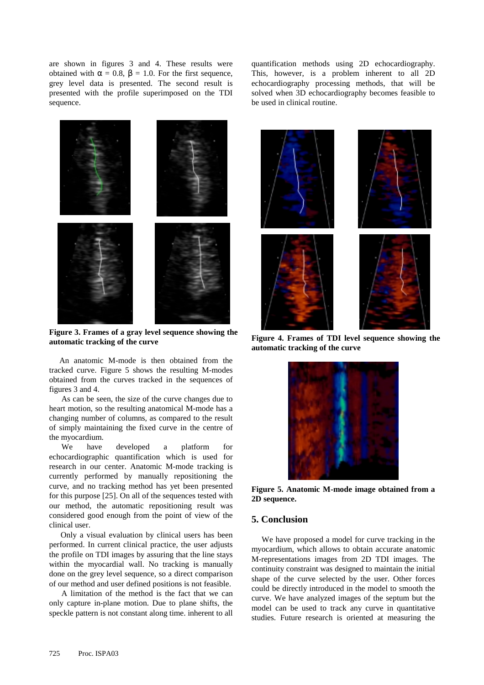are shown in figures 3 and 4. These results were obtained with  $\alpha = 0.8$ ,  $\beta = 1.0$ . For the first sequence, grey level data is presented. The second result is presented with the profile superimposed on the TDI sequence.



**Figure 3. Frames of a gray level sequence showing the automatic tracking of the curve** 

 An anatomic M-mode is then obtained from the tracked curve. Figure 5 shows the resulting M-modes obtained from the curves tracked in the sequences of figures 3 and 4.

 As can be seen, the size of the curve changes due to heart motion, so the resulting anatomical M-mode has a changing number of columns, as compared to the result of simply maintaining the fixed curve in the centre of the myocardium.

 We have developed a platform for echocardiographic quantification which is used for research in our center. Anatomic M-mode tracking is currently performed by manually repositioning the curve, and no tracking method has yet been presented for this purpose [25]. On all of the sequences tested with our method, the automatic repositioning result was considered good enough from the point of view of the clinical user.

Only a visual evaluation by clinical users has been performed. In current clinical practice, the user adjusts the profile on TDI images by assuring that the line stays within the myocardial wall. No tracking is manually done on the grey level sequence, so a direct comparison of our method and user defined positions is not feasible.

 A limitation of the method is the fact that we can only capture in-plane motion. Due to plane shifts, the speckle pattern is not constant along time. inherent to all quantification methods using 2D echocardiography. This, however, is a problem inherent to all 2D echocardiography processing methods, that will be solved when 3D echocardiography becomes feasible to be used in clinical routine.



**Figure 4. Frames of TDI level sequence showing the automatic tracking of the curve** 



**Figure 5. Anatomic M-mode image obtained from a 2D sequence.**

## **5. Conclusion**

 We have proposed a model for curve tracking in the myocardium, which allows to obtain accurate anatomic M-representations images from 2D TDI images. The continuity constraint was designed to maintain the initial shape of the curve selected by the user. Other forces could be directly introduced in the model to smooth the curve. We have analyzed images of the septum but the model can be used to track any curve in quantitative studies. Future research is oriented at measuring the